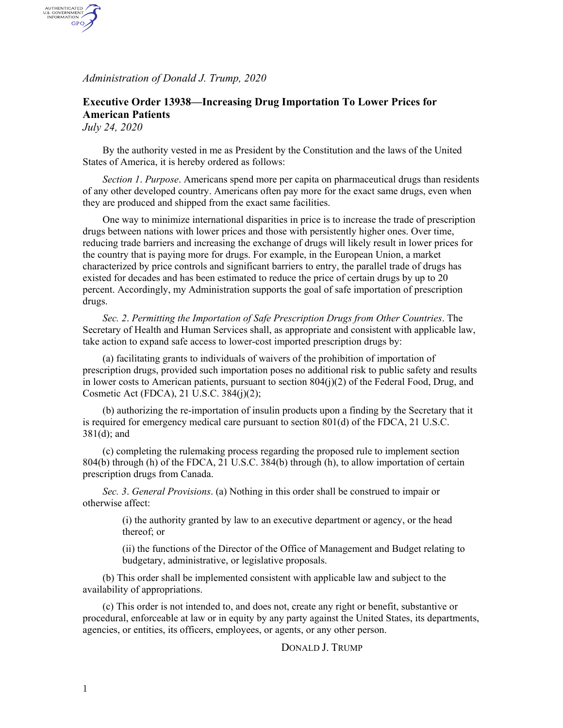*Administration of Donald J. Trump, 2020*

## **Executive Order 13938—Increasing Drug Importation To Lower Prices for American Patients**

*July 24, 2020*

AUTHENTICATED<br>U.S. GOVERNMENT<br>INFORMATION GPO

> By the authority vested in me as President by the Constitution and the laws of the United States of America, it is hereby ordered as follows:

*Section 1*. *Purpose*. Americans spend more per capita on pharmaceutical drugs than residents of any other developed country. Americans often pay more for the exact same drugs, even when they are produced and shipped from the exact same facilities.

One way to minimize international disparities in price is to increase the trade of prescription drugs between nations with lower prices and those with persistently higher ones. Over time, reducing trade barriers and increasing the exchange of drugs will likely result in lower prices for the country that is paying more for drugs. For example, in the European Union, a market characterized by price controls and significant barriers to entry, the parallel trade of drugs has existed for decades and has been estimated to reduce the price of certain drugs by up to 20 percent. Accordingly, my Administration supports the goal of safe importation of prescription drugs.

*Sec. 2*. *Permitting the Importation of Safe Prescription Drugs from Other Countries*. The Secretary of Health and Human Services shall, as appropriate and consistent with applicable law, take action to expand safe access to lower-cost imported prescription drugs by:

(a) facilitating grants to individuals of waivers of the prohibition of importation of prescription drugs, provided such importation poses no additional risk to public safety and results in lower costs to American patients, pursuant to section  $804(j)(2)$  of the Federal Food, Drug, and Cosmetic Act (FDCA), 21 U.S.C. 384(j)(2);

(b) authorizing the re-importation of insulin products upon a finding by the Secretary that it is required for emergency medical care pursuant to section 801(d) of the FDCA, 21 U.S.C. 381(d); and

(c) completing the rulemaking process regarding the proposed rule to implement section 804(b) through (h) of the FDCA, 21 U.S.C. 384(b) through (h), to allow importation of certain prescription drugs from Canada.

*Sec. 3*. *General Provisions*. (a) Nothing in this order shall be construed to impair or otherwise affect:

> (i) the authority granted by law to an executive department or agency, or the head thereof; or

(ii) the functions of the Director of the Office of Management and Budget relating to budgetary, administrative, or legislative proposals.

(b) This order shall be implemented consistent with applicable law and subject to the availability of appropriations.

(c) This order is not intended to, and does not, create any right or benefit, substantive or procedural, enforceable at law or in equity by any party against the United States, its departments, agencies, or entities, its officers, employees, or agents, or any other person.

DONALD J. TRUMP